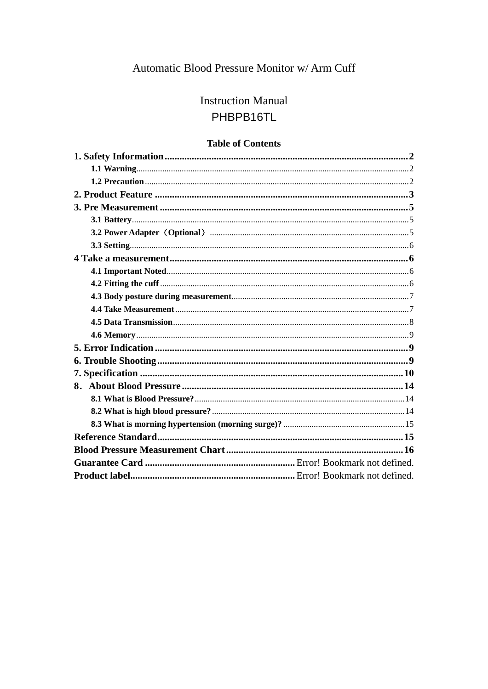# Automatic Blood Pressure Monitor w/ Arm Cuff

# **Instruction Manual** PHBPB16TL

## **Table of Contents**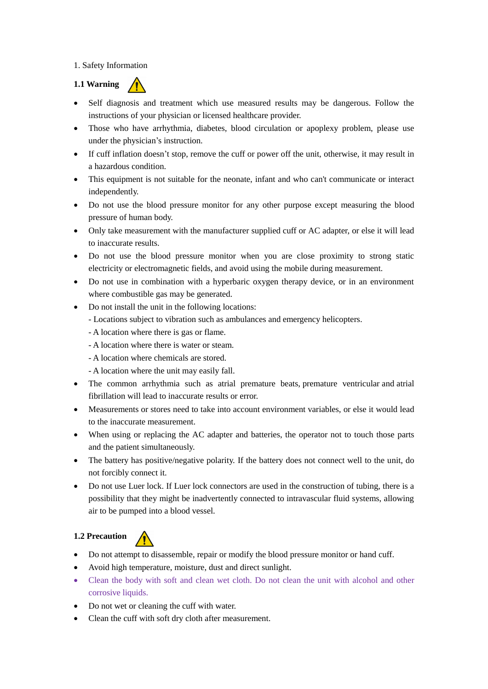#### <span id="page-1-0"></span>1. Safety Information

<span id="page-1-1"></span>

- Self diagnosis and treatment which use measured results may be dangerous. Follow the instructions of your physician or licensed healthcare provider.
- Those who have arrhythmia, diabetes, blood circulation or apoplexy problem, please use under the physician's instruction.
- If cuff inflation doesn't stop, remove the cuff or power off the unit, otherwise, it may result in a hazardous condition.
- This equipment is not suitable for the neonate, infant and who can't communicate or interact independently.
- Do not use the blood pressure monitor for any other purpose except measuring the blood pressure of human body.
- Only take measurement with the manufacturer supplied cuff or AC adapter, or else it will lead to inaccurate results.
- Do not use the blood pressure monitor when you are close proximity to strong static electricity or electromagnetic fields, and avoid using the mobile during measurement.
- Do not use in combination with a hyperbaric oxygen therapy device, or in an environment where combustible gas may be generated.
- Do not install the unit in the following locations:
	- Locations subject to vibration such as ambulances and emergency helicopters.
	- A location where there is gas or flame.
	- A location where there is water or steam.
	- A location where chemicals are stored.
	- A location where the unit may easily fall.
- The common arrhythmia such as atrial premature beats, premature ventricular and atrial fibrillation will lead to inaccurate results or error.
- Measurements or stores need to take into account environment variables, or else it would lead to the inaccurate measurement.
- When using or replacing the AC adapter and batteries, the operator not to touch those parts and the patient simultaneously.
- The battery has positive/negative polarity. If the battery does not connect well to the unit, do not forcibly connect it.
- Do not use Luer lock. If Luer lock connectors are used in the construction of tubing, there is a possibility that they might be inadvertently connected to intravascular fluid systems, allowing air to be pumped into a blood vessel.

#### <span id="page-1-2"></span>**1.2 Precaution**



- Do not attempt to disassemble, repair or modify the blood pressure monitor or hand cuff.
- Avoid high temperature, moisture, dust and direct sunlight.
- Clean the body with soft and clean wet cloth. Do not clean the unit with alcohol and other corrosive liquids.
- Do not wet or cleaning the cuff with water.
- Clean the cuff with soft dry cloth after measurement.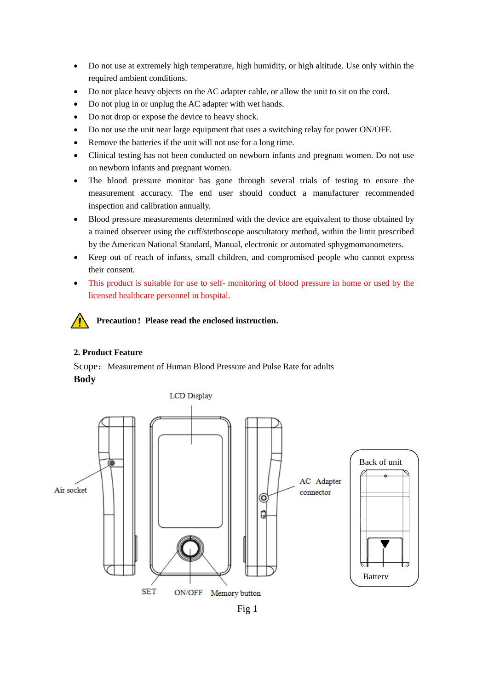- Do not use at extremely high temperature, high humidity, or high altitude. Use only within the required ambient conditions.
- Do not place heavy objects on the AC adapter cable, or allow the unit to sit on the cord.
- Do not plug in or unplug the AC adapter with wet hands.
- Do not drop or expose the device to heavy shock.
- Do not use the unit near large equipment that uses a switching relay for power ON/OFF.
- Remove the batteries if the unit will not use for a long time.
- Clinical testing has not been conducted on newborn infants and pregnant women. Do not use on newborn infants and pregnant women.
- The blood pressure monitor has gone through several trials of testing to ensure the measurement accuracy. The end user should conduct a manufacturer recommended inspection and calibration annually.
- Blood pressure measurements determined with the device are equivalent to those obtained by a trained observer using the cuff/stethoscope auscultatory method, within the limit prescribed by the American National Standard, Manual, electronic or automated sphygmomanometers.
- Keep out of reach of infants, small children, and compromised people who cannot express their consent.
- This product is suitable for use to self- monitoring of blood pressure in home or used by the licensed healthcare personnel in hospital.

**Precaution**!**Please read the enclosed instruction.**

#### <span id="page-2-0"></span>**2. Product Feature**

Scope: Measurement of Human Blood Pressure and Pulse Rate for adults **Body**

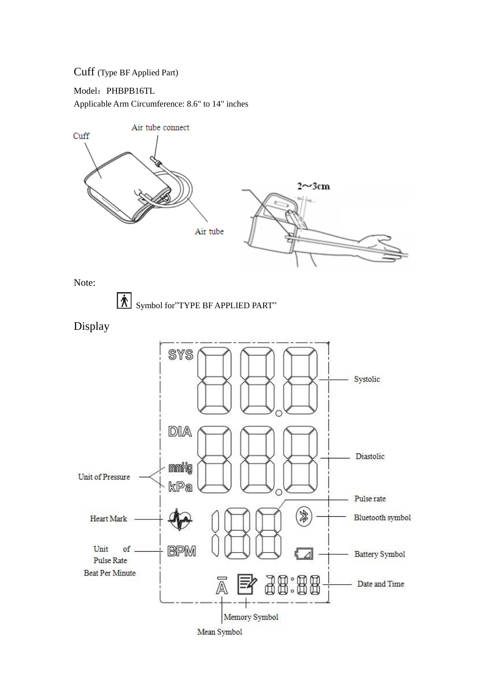## Cuff (Type BF Applied Part)

Model: PHBPB16TL

Applicable Arm Circumference: 8.6" to 14" inches



Note:



Display

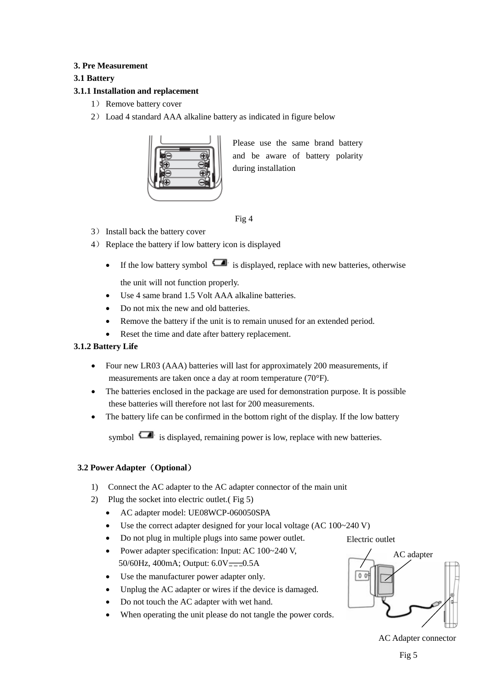## <span id="page-4-0"></span>**3. Pre Measurement**

## <span id="page-4-1"></span>**3.1 Battery**

## **3.1.1 Installation and replacement**

- 1) Remove battery cover
- 2) Load 4 standard AAA alkaline battery as indicated in figure below



Please use the same brand battery and be aware of battery polarity during installation

- Fig 4
- 3) Install back the battery cover
- 4) Replace the battery if low battery icon is displayed
	- If the low battery symbol  $\Box$  is displayed, replace with new batteries, otherwise the unit will not function properly.
	- Use 4 same brand 1.5 Volt AAA alkaline batteries.
	- Do not mix the new and old batteries.
	- Remove the battery if the unit is to remain unused for an extended period.
	- Reset the time and date after battery replacement.

#### **3.1.2 Battery Life**

- Four new LR03 (AAA) batteries will last for approximately 200 measurements, if measurements are taken once a day at room temperature (70°F).
- The batteries enclosed in the package are used for demonstration purpose. It is possible these batteries will therefore not last for 200 measurements.
- The battery life can be confirmed in the bottom right of the display. If the low battery

symbol  $\Box$  is displayed, remaining power is low, replace with new batteries.

## <span id="page-4-2"></span>**3.2 Power Adapter**(**Optional**)

- 1) Connect the AC adapter to the AC adapter connector of the main unit
- 2) Plug the socket into electric outlet.( Fig 5)
	- AC adapter model: UE08WCP-060050SPA
	- Use the correct adapter designed for your local voltage (AC 100~240 V)
	- Do not plug in multiple plugs into same power outlet.
	- Power adapter specification: Input: AC 100~240 V, 50/60Hz, 400mA; Output:  $6.0V = -0.5A$
	- Use the manufacturer power adapter only.
	- Unplug the AC adapter or wires if the device is damaged.
	- Do not touch the AC adapter with wet hand.
	- When operating the unit please do not tangle the power cords.



AC Adapter connector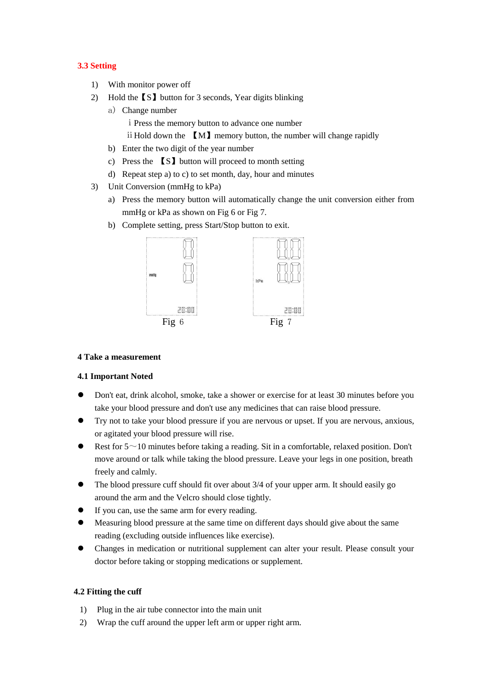## <span id="page-5-0"></span>**3.3 Setting**

- 1) With monitor power off
- 2) Hold the【S】button for 3 seconds, Year digits blinking
- a) Change number ⅰPress the memory button to advance one number ii Hold down the **[M]** memory button, the number will change rapidly
	- b) Enter the two digit of the year number
	- c) Press the 【S】button will proceed to month setting
	- d) Repeat step a) to c) to set month, day, hour and minutes
- 3) Unit Conversion (mmHg to kPa)
	- a) Press the memory button will automatically change the unit conversion either from mmHg or kPa as shown on Fig 6 or Fig 7.
	- b) Complete setting, press Start/Stop button to exit.



#### <span id="page-5-1"></span>**4 Take a measurement**

#### <span id="page-5-2"></span>**4.1 Important Noted**

- Don't eat, drink alcohol, smoke, take a shower or exercise for at least 30 minutes before you take your blood pressure and don't use any medicines that can raise blood pressure.
- Try not to take your blood pressure if you are nervous or upset. If you are nervous, anxious, or agitated your blood pressure will rise.
- Rest for  $5 \sim 10$  minutes before taking a reading. Sit in a comfortable, relaxed position. Don't move around or talk while taking the blood pressure. Leave your legs in one position, breath freely and calmly.
- The blood pressure cuff should fit over about 3/4 of your upper arm. It should easily go around the arm and the Velcro should close tightly.
- If you can, use the same arm for every reading.
- Measuring blood pressure at the same time on different days should give about the same reading (excluding outside influences like exercise).
- Changes in medication or nutritional supplement can alter your result. Please consult your doctor before taking or stopping medications or supplement.

#### <span id="page-5-3"></span>**4.2 Fitting the cuff**

- 1) Plug in the air tube connector into the main unit
- 2) Wrap the cuff around the upper left arm or upper right arm.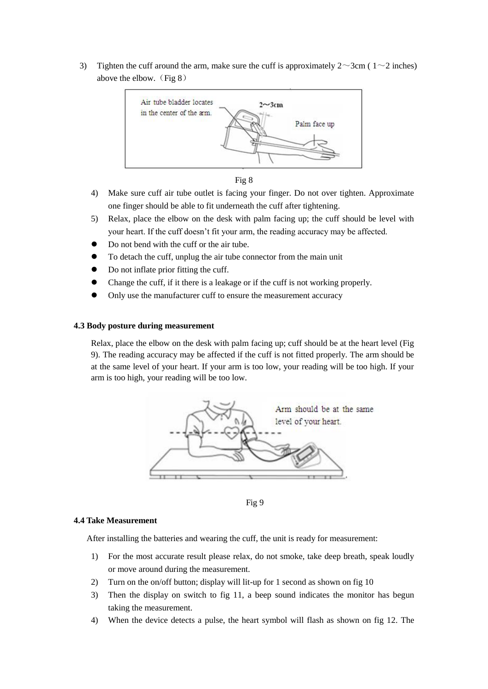3) Tighten the cuff around the arm, make sure the cuff is approximately  $2 \sim 3$ cm ( $1 \sim 2$  inches) above the elbow. (Fig  $8$ )





- 4) Make sure cuff air tube outlet is facing your finger. Do not over tighten. Approximate one finger should be able to fit underneath the cuff after tightening.
- 5) Relax, place the elbow on the desk with palm facing up; the cuff should be level with your heart. If the cuff doesn't fit your arm, the reading accuracy may be affected.
- Do not bend with the cuff or the air tube.
- To detach the cuff, unplug the air tube connector from the main unit
- Do not inflate prior fitting the cuff.
- Change the cuff, if it there is a leakage or if the cuff is not working properly.
- Only use the manufacturer cuff to ensure the measurement accuracy

#### <span id="page-6-0"></span>**4.3 Body posture during measurement**

Relax, place the elbow on the desk with palm facing up; cuff should be at the heart level (Fig 9). The reading accuracy may be affected if the cuff is not fitted properly. The arm should be at the same level of your heart. If your arm is too low, your reading will be too high. If your arm is too high, your reading will be too low.



Fig 9

#### <span id="page-6-1"></span>**4.4 Take Measurement**

After installing the batteries and wearing the cuff, the unit is ready for measurement:

- 1) For the most accurate result please relax, do not smoke, take deep breath, speak loudly or move around during the measurement.
- 2) Turn on the on/off button; display will lit-up for 1 second as shown on fig 10
- 3) Then the display on switch to fig 11, a beep sound indicates the monitor has begun taking the measurement.
- 4) When the device detects a pulse, the heart symbol will flash as shown on fig 12. The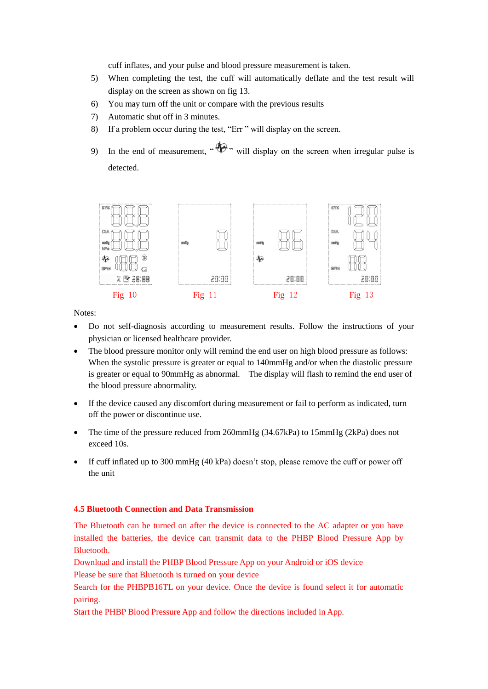cuff inflates, and your pulse and blood pressure measurement is taken.

- 5) When completing the test, the cuff will automatically deflate and the test result will display on the screen as shown on fig 13.
- 6) You may turn off the unit or compare with the previous results
- 7) Automatic shut off in 3 minutes.
- 8) If a problem occur during the test, "Err " will display on the screen.
- 9) In the end of measurement,  $\mathcal{P}$ , will display on the screen when irregular pulse is detected.



Notes:

- Do not self-diagnosis according to measurement results. Follow the instructions of your physician or licensed healthcare provider.
- The blood pressure monitor only will remind the end user on high blood pressure as follows: When the systolic pressure is greater or equal to 140mmHg and/or when the diastolic pressure is greater or equal to 90mmHg as abnormal. The display will flash to remind the end user of the blood pressure abnormality.
- If the device caused any discomfort during measurement or fail to perform as indicated, turn off the power or discontinue use.
- The time of the pressure reduced from 260mmHg (34.67kPa) to 15mmHg (2kPa) does not exceed 10s.
- $\bullet$  If cuff inflated up to 300 mmHg (40 kPa) doesn't stop, please remove the cuff or power off the unit

#### <span id="page-7-0"></span>**4.5 Bluetooth Connection and Data Transmission**

The Bluetooth can be turned on after the device is connected to the AC adapter or you have installed the batteries, the device can transmit data to the PHBP Blood Pressure App by Bluetooth.

Download and install the PHBP Blood Pressure App on your Android or iOS device

Please be sure that Bluetooth is turned on your device

Search for the PHBPB16TL on your device. Once the device is found select it for automatic pairing.

Start the PHBP Blood Pressure App and follow the directions included in App.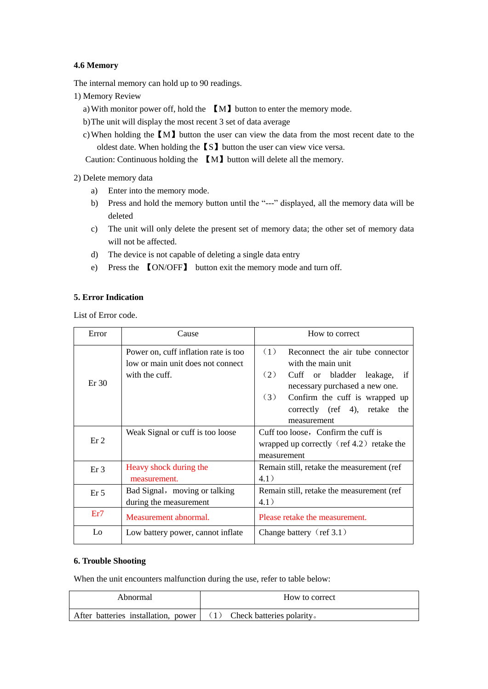## <span id="page-8-0"></span>**4.6 Memory**

The internal memory can hold up to 90 readings.

- 1) Memory Review
	- a)With monitor power off, hold the 【M】button to enter the memory mode.
	- b)The unit will display the most recent 3 set of data average
	- c)When holding the【M】button the user can view the data from the most recent date to the oldest date. When holding the【S】button the user can view vice versa.

Caution: Continuous holding the 【M】button will delete all the memory.

2) Delete memory data

- a) Enter into the memory mode.
- b) Press and hold the memory button until the "---" displayed, all the memory data will be deleted
- c) The unit will only delete the present set of memory data; the other set of memory data will not be affected.
- d) The device is not capable of deleting a single data entry
- e) Press the 【ON/OFF】 button exit the memory mode and turn off.

## <span id="page-8-1"></span>**5. Error Indication**

List of Error code.

| Error           | Cause                                                                     | How to correct                                                                                            |  |  |
|-----------------|---------------------------------------------------------------------------|-----------------------------------------------------------------------------------------------------------|--|--|
|                 | Power on, cuff inflation rate is too<br>low or main unit does not connect | (1)<br>Reconnect the air tube connector<br>with the main unit                                             |  |  |
| Er 30           | with the cuff.                                                            | (2)<br>Cuff or bladder leakage, if<br>necessary purchased a new one.                                      |  |  |
|                 |                                                                           | (3)<br>Confirm the cuff is wrapped up<br>correctly (ref 4), retake<br>the<br>measurement                  |  |  |
| Er <sub>2</sub> | Weak Signal or cuff is too loose                                          | Cuff too loose, Confirm the cuff is<br>wrapped up correctly $(\text{ref } 4.2)$ retake the<br>measurement |  |  |
| Er <sub>3</sub> | Heavy shock during the<br>measurement.                                    | Remain still, retake the measurement (ref<br>4.1)                                                         |  |  |
| Er <sub>5</sub> | Bad Signal, moving or talking<br>during the measurement                   | Remain still, retake the measurement (ref<br>4.1)                                                         |  |  |
| Er7             | Measurement abnormal.                                                     | Please retake the measurement.                                                                            |  |  |
| Lo              | Low battery power, cannot inflate                                         | Change battery $(\text{ref } 3.1)$                                                                        |  |  |

#### <span id="page-8-2"></span>**6. Trouble Shooting**

When the unit encounters malfunction during the use, refer to table below:

| Abnormal                                                            | How to correct |
|---------------------------------------------------------------------|----------------|
| After batteries installation, power $(1)$ Check batteries polarity. |                |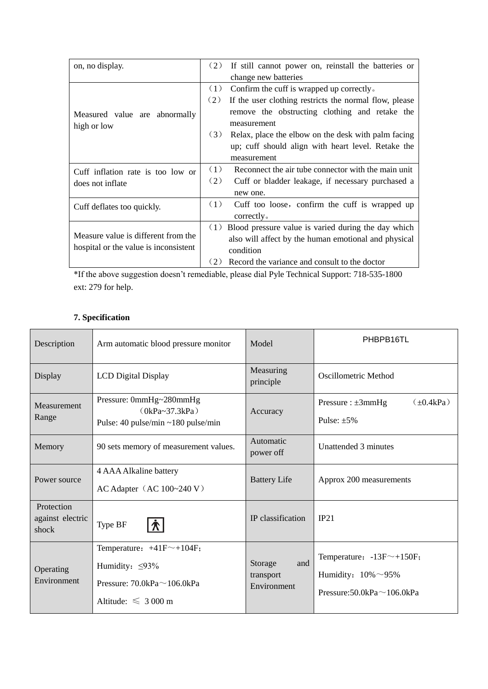| on, no display.                       | (2)<br>If still cannot power on, reinstall the batteries or   |
|---------------------------------------|---------------------------------------------------------------|
|                                       | change new batteries                                          |
|                                       | (1)<br>Confirm the cuff is wrapped up correctly.              |
|                                       | (2)<br>If the user clothing restricts the normal flow, please |
| Measured value are abnormally         | remove the obstructing clothing and retake the                |
| high or low                           | measurement                                                   |
|                                       | (3)<br>Relax, place the elbow on the desk with palm facing    |
|                                       | up; cuff should align with heart level. Retake the            |
|                                       | measurement                                                   |
| Cuff inflation rate is too low or     | (1)<br>Reconnect the air tube connector with the main unit    |
| does not inflate                      | (2)<br>Cuff or bladder leakage, if necessary purchased a      |
|                                       | new one.                                                      |
| Cuff deflates too quickly.            | (1)<br>Cuff too loose, confirm the cuff is wrapped up         |
|                                       | correctly <sub>o</sub>                                        |
|                                       | Blood pressure value is varied during the day which<br>(1)    |
| Measure value is different from the   | also will affect by the human emotional and physical          |
| hospital or the value is inconsistent | condition                                                     |
|                                       | (2)<br>Record the variance and consult to the doctor          |

\*If the above suggestion doesn't remediable, please dial Pyle Technical Support: 718-535-1800 ext: 279 for help.

## <span id="page-9-0"></span>**7. Specification**

| Description                             | Arm automatic blood pressure monitor                                                                                          | Model                                      | PHBPB16TL                                                                                           |
|-----------------------------------------|-------------------------------------------------------------------------------------------------------------------------------|--------------------------------------------|-----------------------------------------------------------------------------------------------------|
| Display                                 | <b>LCD</b> Digital Display                                                                                                    | Measuring<br>principle                     | Oscillometric Method                                                                                |
| Measurement<br>Range                    | Pressure: 0mmHg~280mmHg<br>$(0kPa - 37.3kPa)$<br>Pulse: 40 pulse/min ~180 pulse/min                                           | Accuracy                                   | $(\pm 0.4kPa)$<br>Pressure : $\pm 3$ mmHg<br>Pulse: $\pm 5\%$                                       |
| Memory                                  | 90 sets memory of measurement values.                                                                                         | Automatic<br>power off                     | Unattended 3 minutes                                                                                |
| Power source                            | 4 AAA Alkaline battery<br>AC Adapter $(AC 100~240 V)$                                                                         | <b>Battery Life</b>                        | Approx 200 measurements                                                                             |
| Protection<br>against electric<br>shock | Type BF                                                                                                                       | IP classification                          | IP21                                                                                                |
| Operating<br>Environment                | Temperature: $+41F^{\sim}+104F$ ;<br>Humidity: $\leq 93\%$<br>Pressure: $70.0$ kPa $\sim$ 106.0kPa<br>Altitude: $\leq 3000$ m | Storage<br>and<br>transport<br>Environment | Temperature: $-13F^{\sim}+150F$ ;<br>Humidity: $10\% \sim 95\%$<br>Pressure:50.0kPa $\sim$ 106.0kPa |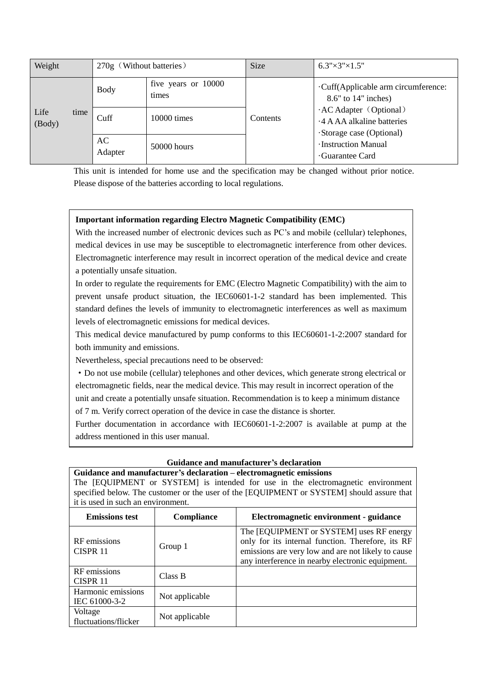| Weight                 | 270g (Without batteries) |                              | <b>Size</b>     | $6.3" \times 3" \times 1.5"$                                                    |
|------------------------|--------------------------|------------------------------|-----------------|---------------------------------------------------------------------------------|
|                        | <b>Body</b>              | five years or 10000<br>times |                 | Cuff(Applicable arm circumference:<br>$8.6"$ to 14" inches)                     |
| Life<br>time<br>(Body) | Cuff                     | 10000 times                  | <b>Contents</b> | · AC Adapter (Optional)<br>4 A AA alkaline batteries<br>Storage case (Optional) |
|                        | AC<br>Adapter            | 50000 hours                  |                 | Instruction Manual<br>Guarantee Card                                            |

This unit is intended for home use and the specification may be changed without prior notice. Please dispose of the batteries according to local regulations.

## **Important information regarding Electro Magnetic Compatibility (EMC)**

With the increased number of electronic devices such as PC's and mobile (cellular) telephones. medical devices in use may be susceptible to electromagnetic interference from other devices. Electromagnetic interference may result in incorrect operation of the medical device and create a potentially unsafe situation.

In order to regulate the requirements for EMC (Electro Magnetic Compatibility) with the aim to prevent unsafe product situation, the IEC60601-1-2 standard has been implemented. This standard defines the levels of immunity to electromagnetic interferences as well as maximum levels of electromagnetic emissions for medical devices.

This medical device manufactured by pump conforms to this IEC60601-1-2:2007 standard for both immunity and emissions.

Nevertheless, special precautions need to be observed:

·Do not use mobile (cellular) telephones and other devices, which generate strong electrical or electromagnetic fields, near the medical device. This may result in incorrect operation of the unit and create a potentially unsafe situation. Recommendation is to keep a minimum distance

of 7 m. Verify correct operation of the device in case the distance is shorter.

Further documentation in accordance with IEC60601-1-2:2007 is available at pump at the address mentioned in this user manual.

#### **Guidance and manufacturer's declaration**

**Guidance and manufacturer's declaration – electromagnetic emissions** The [EQUIPMENT or SYSTEM] is intended for use in the electromagnetic environment specified below. The customer or the user of the [EQUIPMENT or SYSTEM] should assure that it is used in such an environment.

| <b>Emissions test</b>               | <b>Compliance</b> | Electromagnetic environment - guidance                                                                                                                                                                  |
|-------------------------------------|-------------------|---------------------------------------------------------------------------------------------------------------------------------------------------------------------------------------------------------|
| RF emissions<br>CISPR <sub>11</sub> | Group 1           | The [EQUIPMENT or SYSTEM] uses RF energy<br>only for its internal function. Therefore, its RF<br>emissions are very low and are not likely to cause<br>any interference in nearby electronic equipment. |
| RF emissions<br>CISPR 11            | Class B           |                                                                                                                                                                                                         |
| Harmonic emissions<br>IEC 61000-3-2 | Not applicable    |                                                                                                                                                                                                         |
| Voltage<br>fluctuations/flicker     | Not applicable    |                                                                                                                                                                                                         |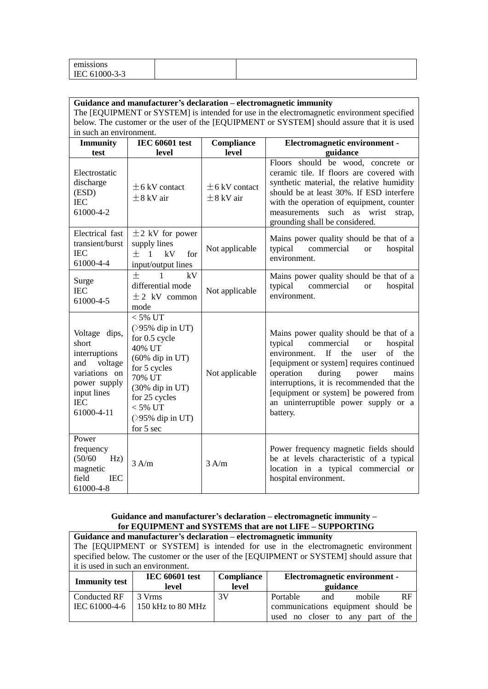| emissions                                              |  |  |
|--------------------------------------------------------|--|--|
| $0.1000 - 3 - 3$<br>$\overline{\phantom{a}}$<br>ப<br>. |  |  |

| Guidance and manufacturer's declaration – electromagnetic immunity<br>The [EQUIPMENT or SYSTEM] is intended for use in the electromagnetic environment specified |                                                                                                                                                                                                       |                                      |                                                                                                                                                                                                                                                                                                                                                                            |
|------------------------------------------------------------------------------------------------------------------------------------------------------------------|-------------------------------------------------------------------------------------------------------------------------------------------------------------------------------------------------------|--------------------------------------|----------------------------------------------------------------------------------------------------------------------------------------------------------------------------------------------------------------------------------------------------------------------------------------------------------------------------------------------------------------------------|
|                                                                                                                                                                  |                                                                                                                                                                                                       |                                      | below. The customer or the user of the [EQUIPMENT or SYSTEM] should assure that it is used                                                                                                                                                                                                                                                                                 |
| in such an environment.                                                                                                                                          |                                                                                                                                                                                                       |                                      |                                                                                                                                                                                                                                                                                                                                                                            |
| <b>Immunity</b>                                                                                                                                                  | <b>IEC 60601 test</b>                                                                                                                                                                                 | Compliance                           | Electromagnetic environment -                                                                                                                                                                                                                                                                                                                                              |
| test                                                                                                                                                             | level                                                                                                                                                                                                 | level                                | guidance                                                                                                                                                                                                                                                                                                                                                                   |
| Electrostatic<br>discharge<br>(ESD)<br><b>IEC</b><br>61000-4-2                                                                                                   | $\pm$ 6 kV contact<br>$\pm$ 8 kV air                                                                                                                                                                  | $\pm$ 6 kV contact<br>$\pm$ 8 kV air | Floors should be wood, concrete or<br>ceramic tile. If floors are covered with<br>synthetic material, the relative humidity<br>should be at least 30%. If ESD interfere<br>with the operation of equipment, counter<br>such<br>as<br>wrist<br>measurements<br>strap,<br>grounding shall be considered.                                                                     |
| Electrical fast<br>transient/burst<br><b>IEC</b><br>61000-4-4                                                                                                    | $\pm$ 2 kV for power<br>supply lines<br>$+$ 1<br>kV<br>for<br>input/output lines                                                                                                                      | Not applicable                       | Mains power quality should be that of a<br>commercial<br>typical<br>hospital<br><b>or</b><br>environment.                                                                                                                                                                                                                                                                  |
| Surge<br><b>IEC</b><br>61000-4-5                                                                                                                                 | 士<br>kV<br>$\mathbf{1}$<br>differential mode<br>$\pm$ 2 kV common<br>mode                                                                                                                             | Not applicable                       | Mains power quality should be that of a<br>typical<br>commercial<br>hospital<br><b>or</b><br>environment.                                                                                                                                                                                                                                                                  |
| Voltage dips,<br>short<br>interruptions<br>voltage<br>and<br>variations on<br>power supply<br>input lines<br><b>IEC</b><br>61000-4-11                            | $< 5\%$ UT<br>$($ >95% dip in UT)<br>for 0.5 cycle<br>40% UT<br>$(60\%$ dip in UT)<br>for 5 cycles<br>70% UT<br>$(30\%$ dip in UT)<br>for 25 cycles<br>$< 5\%$ UT<br>$($ >95% dip in UT)<br>for 5 sec | Not applicable                       | Mains power quality should be that of a<br>typical<br>commercial<br>hospital<br><b>or</b><br>environment.<br>If<br>the<br>the<br>of<br>user<br>[equipment or system] requires continued<br>operation<br>during<br>power<br>mains<br>interruptions, it is recommended that the<br>[equipment or system] be powered from<br>an uninterruptible power supply or a<br>battery. |
| Power<br>frequency<br>(50/60)<br>Hz)<br>magnetic<br>field<br><b>IEC</b><br>61000-4-8                                                                             | 3 A/m                                                                                                                                                                                                 | 3 A/m                                | Power frequency magnetic fields should<br>be at levels characteristic of a typical<br>location in a typical commercial or<br>hospital environment.                                                                                                                                                                                                                         |

## **Guidance and manufacturer's declaration – electromagnetic immunity – for EQUIPMENT and SYSTEMS that are not LIFE – SUPPORTING**

| Guidance and manufacturer's declaration – electromagnetic immunity<br>The [EQUIPMENT or SYSTEM] is intended for use in the electromagnetic environment<br>specified below. The customer or the user of the [EQUIPMENT or SYSTEM] should assure that<br>it is used in such an environment. |                             |    |                                                                                                                   |  |
|-------------------------------------------------------------------------------------------------------------------------------------------------------------------------------------------------------------------------------------------------------------------------------------------|-----------------------------|----|-------------------------------------------------------------------------------------------------------------------|--|
| <b>Compliance</b><br>Electromagnetic environment -<br><b>IEC 60601 test</b><br><b>Immunity test</b><br>level<br>guidance<br>level                                                                                                                                                         |                             |    |                                                                                                                   |  |
| <b>Conducted RF</b><br>IEC 61000-4-6                                                                                                                                                                                                                                                      | 3 Vrms<br>150 kHz to 80 MHz | 3V | Portable<br><b>RF</b><br>mobile<br>and<br>communications equipment should be<br>used no closer to any part of the |  |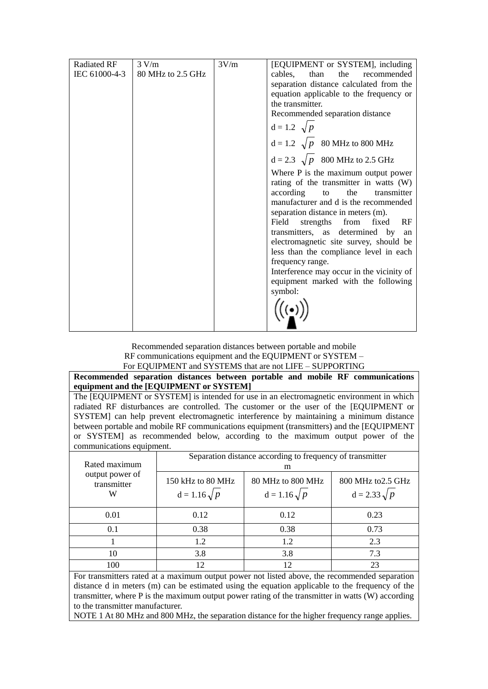| Radiated RF<br>IEC 61000-4-3 | 3 V/m<br>80 MHz to 2.5 GHz | 3V/m | [EQUIPMENT or SYSTEM], including<br>than<br>cables,<br>the<br>recommended |
|------------------------------|----------------------------|------|---------------------------------------------------------------------------|
|                              |                            |      | separation distance calculated from the                                   |
|                              |                            |      | equation applicable to the frequency or                                   |
|                              |                            |      | the transmitter.                                                          |
|                              |                            |      | Recommended separation distance                                           |
|                              |                            |      | $d = 1.2 \sqrt{p}$                                                        |
|                              |                            |      | $d = 1.2 \sqrt{p}$ 80 MHz to 800 MHz                                      |
|                              |                            |      | $d = 2.3 \sqrt{p}$ 800 MHz to 2.5 GHz                                     |
|                              |                            |      | Where P is the maximum output power                                       |
|                              |                            |      | rating of the transmitter in watts (W)                                    |
|                              |                            |      | according to<br>the<br>transmitter                                        |
|                              |                            |      | manufacturer and d is the recommended                                     |
|                              |                            |      | separation distance in meters (m).                                        |
|                              |                            |      | Field<br>strengths from<br>RF<br>fixed                                    |
|                              |                            |      | transmitters, as determined by an                                         |
|                              |                            |      | electromagnetic site survey, should be                                    |
|                              |                            |      | less than the compliance level in each                                    |
|                              |                            |      | frequency range.                                                          |
|                              |                            |      | Interference may occur in the vicinity of                                 |
|                              |                            |      | equipment marked with the following                                       |
|                              |                            |      | symbol:                                                                   |
|                              |                            |      |                                                                           |
|                              |                            |      |                                                                           |

Recommended separation distances between portable and mobile RF communications equipment and the EQUIPMENT or SYSTEM – For EQUIPMENT and SYSTEMS that are not LIFE – SUPPORTING

**Recommended separation distances between portable and mobile RF communications equipment and the [EQUIPMENT or SYSTEM]**

The [EQUIPMENT or SYSTEM] is intended for use in an electromagnetic environment in which radiated RF disturbances are controlled. The customer or the user of the [EQUIPMENT or SYSTEM] can help prevent electromagnetic interference by maintaining a minimum distance between portable and mobile RF communications equipment (transmitters) and the [EQUIPMENT or SYSTEM] as recommended below, according to the maximum output power of the communications equipment.

| Rated maximum                       | Separation distance according to frequency of transmitter<br>m |                                          |                                           |  |
|-------------------------------------|----------------------------------------------------------------|------------------------------------------|-------------------------------------------|--|
| output power of<br>transmitter<br>W | 150 kHz to 80 MHz<br>$d = 1.16 \sqrt{p}$                       | 80 MHz to 800 MHz<br>$d = 1.16 \sqrt{p}$ | 800 MHz to 2.5 GHz<br>$d = 2.33 \sqrt{p}$ |  |
| 0.01                                | 0.12                                                           | 0.12                                     | 0.23                                      |  |
| 0.1                                 | 0.38                                                           | 0.38                                     | 0.73                                      |  |
|                                     | 1.2                                                            | 1.2                                      | 2.3                                       |  |
| 10                                  | 3.8                                                            | 3.8                                      | 7.3                                       |  |
| 100                                 | 12                                                             | 12                                       | 23                                        |  |

For transmitters rated at a maximum output power not listed above, the recommended separation distance d in meters (m) can be estimated using the equation applicable to the frequency of the transmitter, where P is the maximum output power rating of the transmitter in watts (W) according to the transmitter manufacturer.

NOTE 1 At 80 MHz and 800 MHz, the separation distance for the higher frequency range applies.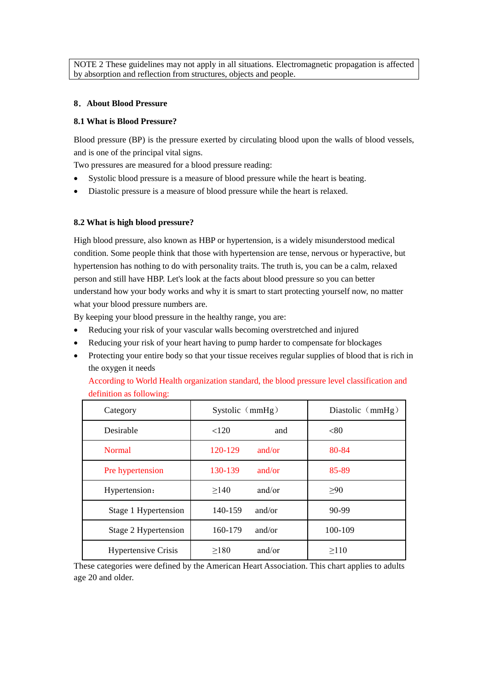NOTE 2 These guidelines may not apply in all situations. Electromagnetic propagation is affected by absorption and reflection from structures, objects and people.

#### <span id="page-13-0"></span>**8**.**About Blood Pressure**

#### <span id="page-13-1"></span>**8.1 What is Blood Pressure?**

Blood pressure (BP) is the [pressure](http://en.wikipedia.org/wiki/Pressure) exerted by circulating [blood](http://en.wikipedia.org/wiki/Blood) upon the walls of [blood vessels,](http://en.wikipedia.org/wiki/Blood_vessel) and is one of the principal [vital signs.](http://en.wikipedia.org/wiki/Vital_signs)

Two pressures are measured for a [blood pressure reading:](http://blood-pressure.emedtv.com/blood-pressure/blood-pressure-readings.html)

- Systolic blood pressure is a measure of blood pressure while the heart is beating.
- Diastolic pressure is a measure of blood pressure while the heart is relaxed.

#### <span id="page-13-2"></span>**8.2 What is high blood pressure?**

High blood pressure, also known as HBP or hypertension, is a widely misunderstood medical condition. Some people think that those with hypertension are tense, nervous or hyperactive, but hypertension has nothing to do with personality traits. The truth is, you can be a calm, relaxed person and still have HBP. Let's look at the facts about blood pressure so you can better understand how your body works and why it is smart to start protecting yourself now, no matter what your blood pressure numbers are.

By keeping your blood pressure in the healthy range, you are:

- Reducing your risk of your vascular walls becoming overstretched and injured
- Reducing your risk of your heart having to pump harder to compensate for blockages
- Protecting your entire body so that your tissue receives regular supplies of blood that is rich in the oxygen it needs

According to World Health organization standard, the blood pressure level classification and definition as following:

| Category                   | Systolic (mmHg)      | Diastolic (mmHg) |  |  |
|----------------------------|----------------------|------------------|--|--|
| Desirable                  | < 120<br>and         | < 80             |  |  |
| <b>Normal</b>              | 120-129<br>and/or    | 80-84            |  |  |
| Pre hypertension           | 130-139<br>and/or    | 85-89            |  |  |
| Hypertension:              | >140<br>and/or       | >90              |  |  |
| Stage 1 Hypertension       | 140-159<br>and/or    | 90-99            |  |  |
| Stage 2 Hypertension       | 160-179<br>and/or    | 100-109          |  |  |
| <b>Hypertensive Crisis</b> | and/or<br>$\geq$ 180 | $\geq$ 110       |  |  |

These categories were defined by the American Heart Association. This chart applies to adults age 20 and older.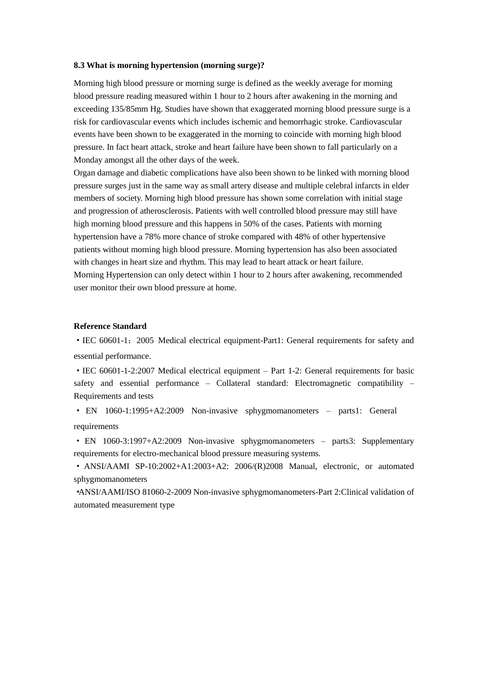#### <span id="page-14-0"></span>**8.3 What is morning hypertension (morning surge)?**

Morning high blood pressure or morning surge is defined as the weekly average for morning blood pressure reading measured within 1 hour to 2 hours after awakening in the morning and exceeding 135/85mm Hg. Studies have shown that exaggerated morning blood pressure surge is a risk for cardiovascular events which includes ischemic and hemorrhagic stroke. Cardiovascular events have been shown to be exaggerated in the morning to coincide with morning high blood pressure. In fact heart attack, stroke and heart failure have been shown to fall particularly on a Monday amongst all the other days of the week.

Organ damage and diabetic complications have also been shown to be linked with morning blood pressure surges just in the same way as small artery disease and multiple celebral infarcts in elder members of society. Morning high blood pressure has shown some correlation with initial stage and progression of atherosclerosis. Patients with well controlled blood pressure may still have high morning [blood pressure](http://www.hypertension-bloodpressure-center.com/) and this happens in 50% of the cases. Patients with morning hypertension have a 78% more chance of stroke compared with 48% of other hypertensive patients without morning high blood pressure. Morning hypertension has also been associated with changes in heart size and rhythm. This may lead to heart attack or heart failure. Morning Hypertension can only detect within 1 hour to 2 hours after awakening, recommended user monitor their own blood pressure at home.

#### <span id="page-14-1"></span>**Reference Standard**

·IEC 60601-1:2005 Medical electrical equipment-Part1: General requirements for safety and essential performance.

·IEC 60601-1-2:2007 Medical electrical equipment – Part 1-2: General requirements for basic safety and essential performance – Collateral standard: Electromagnetic compatibility – Requirements and tests

· EN 1060-1:1995+A2:2009 Non-invasive sphygmomanometers – parts1: General requirements

· EN 1060-3:1997+A2:2009 Non-invasive sphygmomanometers – parts3: Supplementary requirements for electro-mechanical blood pressure measuring systems.

· ANSI/AAMI SP-10:2002+A1:2003+A2: 2006/(R)2008 Manual, electronic, or automated sphygmomanometers

·ANSI/AAMI/ISO 81060-2-2009 Non-invasive sphygmomanometers-Part 2:Clinical validation of automated measurement type